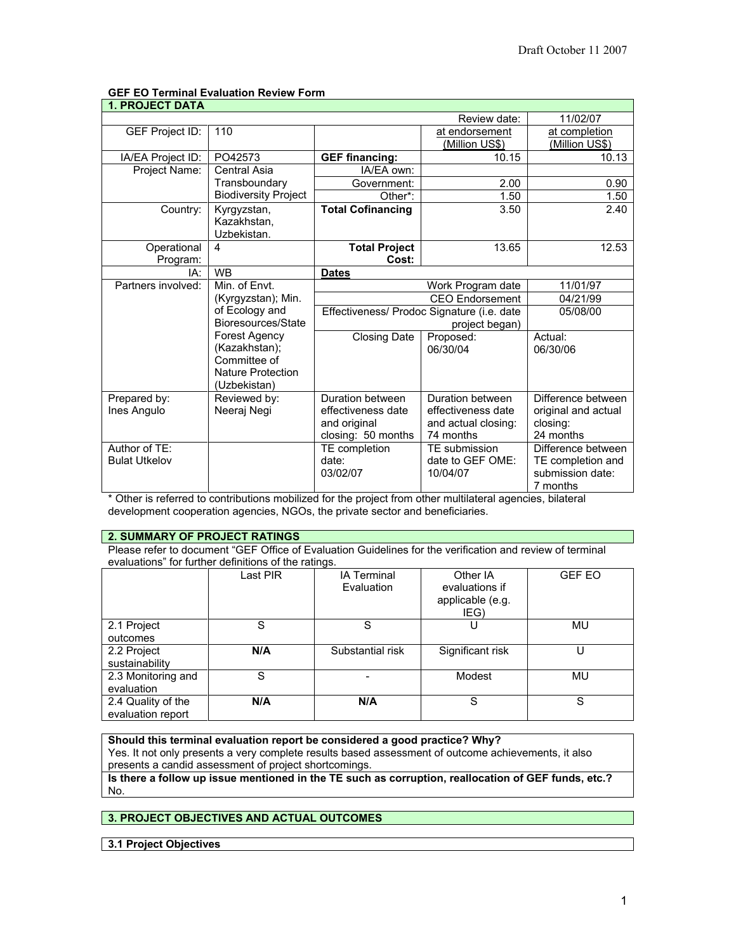# **GEF EO Terminal Evaluation Review Form**

| <b>1. PROJECT DATA</b> |                                           |                                                              |                        |                     |
|------------------------|-------------------------------------------|--------------------------------------------------------------|------------------------|---------------------|
|                        |                                           |                                                              | Review date:           | 11/02/07            |
| <b>GEF Project ID:</b> | 110                                       |                                                              | at endorsement         | at completion       |
|                        |                                           |                                                              | (Million US\$)         | (Million US\$)      |
| IA/EA Project ID:      | PO42573                                   | <b>GEF financing:</b>                                        | 10.15                  | 10.13               |
| Project Name:          | Central Asia                              | IA/EA own:                                                   |                        |                     |
|                        | Transboundary                             | Government:                                                  | 2.00                   | 0.90                |
|                        | <b>Biodiversity Project</b>               | Other*:                                                      | 1.50                   | 1.50                |
| Country:               | Kyrgyzstan,<br>Kazakhstan.<br>Uzbekistan. | <b>Total Cofinancing</b>                                     | 3.50                   | 2.40                |
| Operational            | 4                                         | <b>Total Project</b>                                         | 13.65                  | 12.53               |
| Program:               |                                           | Cost:                                                        |                        |                     |
| IA:                    | <b>WB</b>                                 | <b>Dates</b>                                                 |                        |                     |
| Partners involved:     | Min. of Envt.                             |                                                              | Work Program date      | 11/01/97            |
|                        | (Kyrgyzstan); Min.                        |                                                              | <b>CEO</b> Endorsement | 04/21/99            |
|                        | of Ecology and                            | Effectiveness/ Prodoc Signature (i.e. date<br>project began) |                        | 05/08/00            |
|                        | Bioresources/State                        |                                                              |                        |                     |
|                        | Forest Agency                             | <b>Closing Date</b>                                          | Proposed:              | Actual:             |
|                        | (Kazakhstan);                             |                                                              | 06/30/04               | 06/30/06            |
|                        | Committee of<br><b>Nature Protection</b>  |                                                              |                        |                     |
|                        | (Uzbekistan)                              |                                                              |                        |                     |
| Prepared by:           | Reviewed by:                              | Duration between                                             | Duration between       | Difference between  |
| Ines Angulo            | Neeraj Negi                               | effectiveness date                                           | effectiveness date     | original and actual |
|                        |                                           | and original                                                 | and actual closing:    | closing:            |
|                        |                                           | closing: 50 months                                           | 74 months              | 24 months           |
| Author of TF:          |                                           | TE completion                                                | TE submission          | Difference between  |
| <b>Bulat Utkelov</b>   |                                           | date:                                                        | date to GEF OME:       | TE completion and   |
|                        |                                           | 03/02/07                                                     | 10/04/07               | submission date:    |
|                        |                                           |                                                              |                        | 7 months            |

\* Other is referred to contributions mobilized for the project from other multilateral agencies, bilateral development cooperation agencies, NGOs, the private sector and beneficiaries.

## **2. SUMMARY OF PROJECT RATINGS**

Please refer to document "GEF Office of Evaluation Guidelines for the verification and review of terminal evaluations" for further definitions of the ratings.

|                                         | Last PIR | <b>IA Terminal</b><br>Evaluation | Other IA<br>evaluations if<br>applicable (e.g.<br>IEG) | <b>GEF EO</b> |
|-----------------------------------------|----------|----------------------------------|--------------------------------------------------------|---------------|
| 2.1 Project<br>outcomes                 | S        | S                                | U                                                      | MU            |
| 2.2 Project<br>sustainability           | N/A      | Substantial risk                 | Significant risk                                       |               |
| 2.3 Monitoring and<br>evaluation        | S        |                                  | Modest                                                 | MU            |
| 2.4 Quality of the<br>evaluation report | N/A      | N/A                              | S                                                      | S             |

## **Should this terminal evaluation report be considered a good practice? Why?**

Yes. It not only presents a very complete results based assessment of outcome achievements, it also presents a candid assessment of project shortcomings.

**Is there a follow up issue mentioned in the TE such as corruption, reallocation of GEF funds, etc.?** No.

# **3. PROJECT OBJECTIVES AND ACTUAL OUTCOMES**

**3.1 Project Objectives**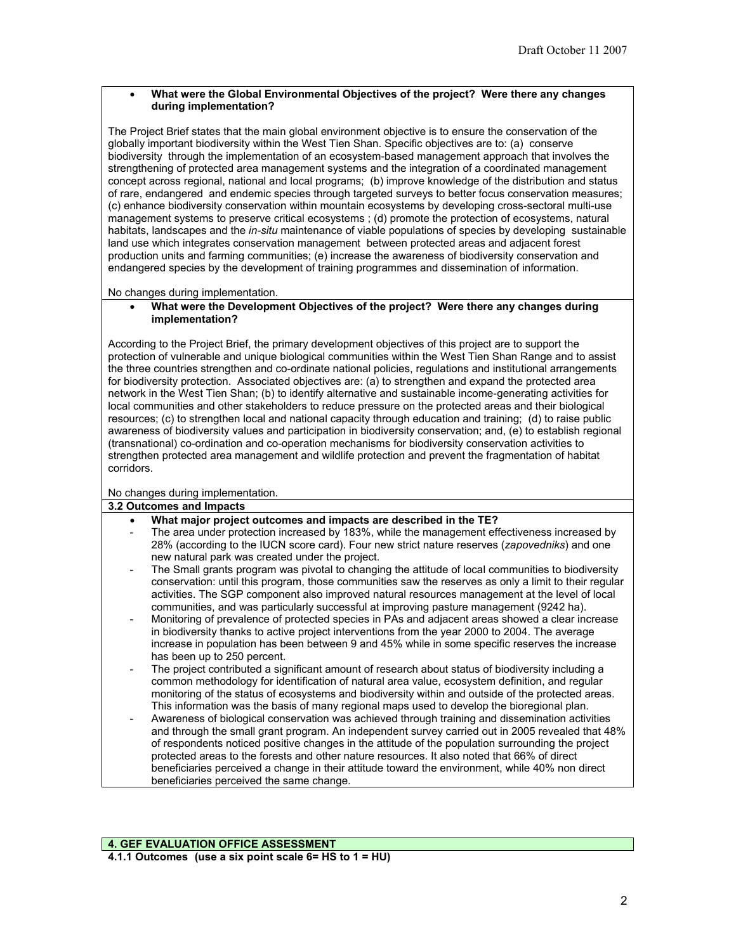## • **What were the Global Environmental Objectives of the project? Were there any changes during implementation?**

The Project Brief states that the main global environment objective is to ensure the conservation of the globally important biodiversity within the West Tien Shan. Specific objectives are to: (a) conserve biodiversity through the implementation of an ecosystem-based management approach that involves the strengthening of protected area management systems and the integration of a coordinated management concept across regional, national and local programs; (b) improve knowledge of the distribution and status of rare, endangered and endemic species through targeted surveys to better focus conservation measures; (c) enhance biodiversity conservation within mountain ecosystems by developing cross-sectoral multi-use management systems to preserve critical ecosystems ; (d) promote the protection of ecosystems, natural habitats, landscapes and the *in-situ* maintenance of viable populations of species by developing sustainable land use which integrates conservation management between protected areas and adjacent forest production units and farming communities; (e) increase the awareness of biodiversity conservation and endangered species by the development of training programmes and dissemination of information.

No changes during implementation.

#### • **What were the Development Objectives of the project? Were there any changes during implementation?**

According to the Project Brief, the primary development objectives of this project are to support the protection of vulnerable and unique biological communities within the West Tien Shan Range and to assist the three countries strengthen and co-ordinate national policies, regulations and institutional arrangements for biodiversity protection. Associated objectives are: (a) to strengthen and expand the protected area network in the West Tien Shan; (b) to identify alternative and sustainable income-generating activities for local communities and other stakeholders to reduce pressure on the protected areas and their biological resources; (c) to strengthen local and national capacity through education and training; (d) to raise public awareness of biodiversity values and participation in biodiversity conservation; and, (e) to establish regional (transnational) co-ordination and co-operation mechanisms for biodiversity conservation activities to strengthen protected area management and wildlife protection and prevent the fragmentation of habitat corridors.

## No changes during implementation.

#### **3.2 Outcomes and Impacts**

- **What major project outcomes and impacts are described in the TE?**
- The area under protection increased by 183%, while the management effectiveness increased by 28% (according to the IUCN score card). Four new strict nature reserves (*zapovedniks*) and one new natural park was created under the project.
- The Small grants program was pivotal to changing the attitude of local communities to biodiversity conservation: until this program, those communities saw the reserves as only a limit to their regular activities. The SGP component also improved natural resources management at the level of local communities, and was particularly successful at improving pasture management (9242 ha).
- Monitoring of prevalence of protected species in PAs and adjacent areas showed a clear increase in biodiversity thanks to active project interventions from the year 2000 to 2004. The average increase in population has been between 9 and 45% while in some specific reserves the increase has been up to 250 percent.
- The project contributed a significant amount of research about status of biodiversity including a common methodology for identification of natural area value, ecosystem definition, and regular monitoring of the status of ecosystems and biodiversity within and outside of the protected areas. This information was the basis of many regional maps used to develop the bioregional plan.
- Awareness of biological conservation was achieved through training and dissemination activities and through the small grant program. An independent survey carried out in 2005 revealed that 48% of respondents noticed positive changes in the attitude of the population surrounding the project protected areas to the forests and other nature resources. It also noted that 66% of direct beneficiaries perceived a change in their attitude toward the environment, while 40% non direct beneficiaries perceived the same change.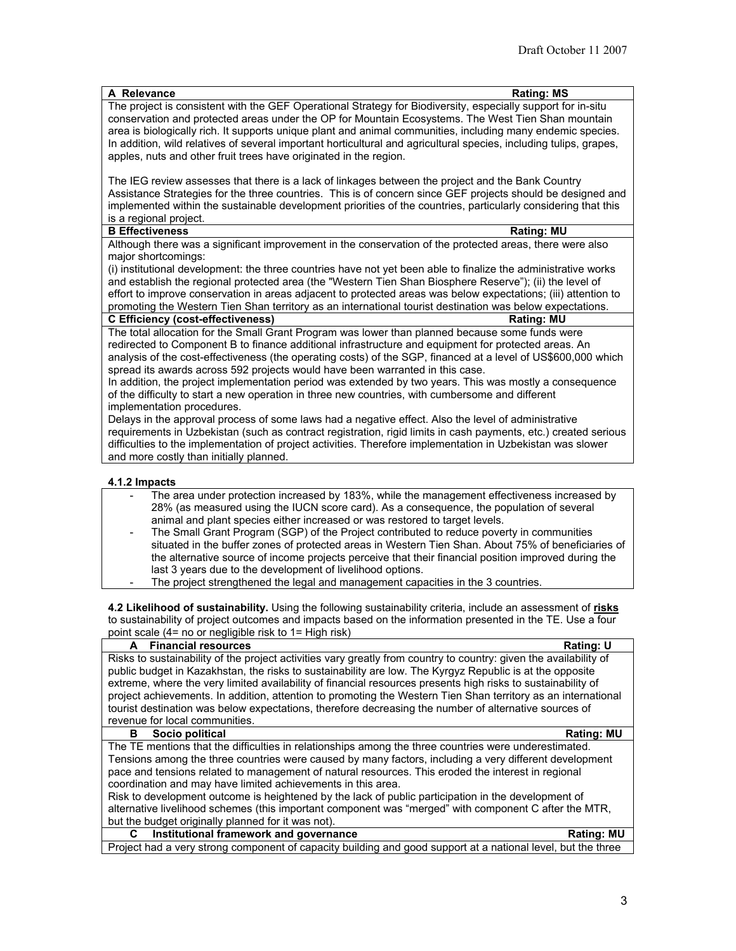| A Relevance<br><b>Rating: MS</b>                                                                                   |  |
|--------------------------------------------------------------------------------------------------------------------|--|
| The project is consistent with the GEF Operational Strategy for Biodiversity, especially support for in-situ       |  |
| conservation and protected areas under the OP for Mountain Ecosystems. The West Tien Shan mountain                 |  |
| area is biologically rich. It supports unique plant and animal communities, including many endemic species.        |  |
| In addition, wild relatives of several important horticultural and agricultural species, including tulips, grapes, |  |
| apples, nuts and other fruit trees have originated in the region.                                                  |  |
|                                                                                                                    |  |
| The IEG review assesses that there is a lack of linkages between the project and the Bank Country                  |  |
| Assistance Strategies for the three countries. This is of concern since GEF projects should be designed and        |  |
| implemented within the sustainable development priorities of the countries, particularly considering that this     |  |
| is a regional project.                                                                                             |  |
| <b>B Effectiveness</b><br><b>Rating: MU</b>                                                                        |  |
| Although there was a significant improvement in the conservation of the protected areas, there were also           |  |
| major shortcomings:                                                                                                |  |
| (i) institutional development: the three countries have not yet been able to finalize the administrative works     |  |
| and establish the regional protected area (the "Western Tien Shan Biosphere Reserve"); (ii) the level of           |  |
| effort to improve conservation in areas adjacent to protected areas was below expectations; (iii) attention to     |  |
| promoting the Western Tien Shan territory as an international tourist destination was below expectations.          |  |
| <b>C Efficiency (cost-effectiveness)</b><br><b>Rating: MU</b>                                                      |  |
| The total allocation for the Small Grant Program was lower than planned because some funds were                    |  |
| redirected to Component B to finance additional infrastructure and equipment for protected areas. An               |  |
| analysis of the cost-effectiveness (the operating costs) of the SGP, financed at a level of US\$600,000 which      |  |
| spread its awards across 592 projects would have been warranted in this case.                                      |  |
| In addition, the project implementation period was extended by two years. This was mostly a consequence            |  |
| of the difficulty to start a new operation in three new countries, with cumbersome and different                   |  |
| implementation procedures.                                                                                         |  |
| Delays in the approval process of some laws had a negative effect. Also the level of administrative                |  |
| requirements in Uzbekistan (such as contract registration, rigid limits in cash payments, etc.) created serious    |  |
| difficulties to the implementation of project activities. Therefore implementation in Uzbekistan was slower        |  |
| and more costly than initially planned.                                                                            |  |
|                                                                                                                    |  |
| 4.1.2 Impacts                                                                                                      |  |
| The area under protection increased by 183%, while the management effectiveness increased by                       |  |
| 28% (as measured using the IUCN score card). As a consequence, the population of several                           |  |
| animal and plant species either increased or was restored to target levels.                                        |  |

- The Small Grant Program (SGP) of the Project contributed to reduce poverty in communities situated in the buffer zones of protected areas in Western Tien Shan. About 75% of beneficiaries of the alternative source of income projects perceive that their financial position improved during the last 3 years due to the development of livelihood options.
- The project strengthened the legal and management capacities in the 3 countries.

**4.2 Likelihood of sustainability.** Using the following sustainability criteria, include an assessment of **risks** to sustainability of project outcomes and impacts based on the information presented in the TE. Use a four point scale (4= no or negligible risk to 1= High risk)

| A Financial resources                                                                                             | <b>Rating: U</b>  |  |
|-------------------------------------------------------------------------------------------------------------------|-------------------|--|
| Risks to sustainability of the project activities vary greatly from country to country: given the availability of |                   |  |
| public budget in Kazakhstan, the risks to sustainability are low. The Kyrgyz Republic is at the opposite          |                   |  |
| extreme, where the very limited availability of financial resources presents high risks to sustainability of      |                   |  |
| project achievements. In addition, attention to promoting the Western Tien Shan territory as an international     |                   |  |
| tourist destination was below expectations, therefore decreasing the number of alternative sources of             |                   |  |
| revenue for local communities.                                                                                    |                   |  |
| Socio political<br>в                                                                                              | <b>Rating: MU</b> |  |
| The TE mentions that the difficulties in relationships among the three countries were underestimated.             |                   |  |
| Tensions among the three countries were caused by many factors, including a very different development            |                   |  |
| pace and tensions related to management of natural resources. This eroded the interest in regional                |                   |  |
| coordination and may have limited achievements in this area.                                                      |                   |  |
| Risk to development outcome is heightened by the lack of public participation in the development of               |                   |  |
| alternative livelihood schemes (this important component was "merged" with component C after the MTR,             |                   |  |
| but the budget originally planned for it was not).                                                                |                   |  |
| Institutional framework and governance<br>C                                                                       | <b>Rating: MU</b> |  |
| Project had a very strong component of capacity building and good support at a national level, but the three      |                   |  |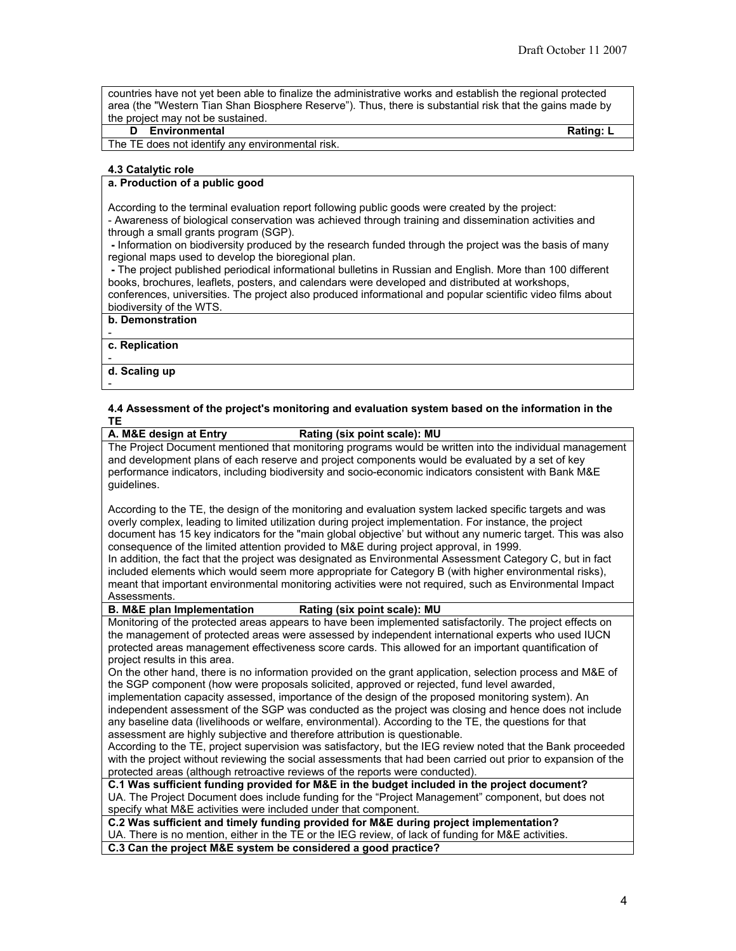countries have not yet been able to finalize the administrative works and establish the regional protected area (the "Western Tian Shan Biosphere Reserve"). Thus, there is substantial risk that the gains made by the project may not be sustained.

## **D Environmental Rating: L**

The TE does not identify any environmental risk.

#### **4.3 Catalytic role**

#### **a. Production of a public good**

According to the terminal evaluation report following public goods were created by the project: - Awareness of biological conservation was achieved through training and dissemination activities and through a small grants program (SGP).

 **-** Information on biodiversity produced by the research funded through the project was the basis of many regional maps used to develop the bioregional plan.

 **-** The project published periodical informational bulletins in Russian and English. More than 100 different books, brochures, leaflets, posters, and calendars were developed and distributed at workshops, conferences, universities. The project also produced informational and popular scientific video films about biodiversity of the WTS.

#### **b. Demonstration**

 **c. Replication**

-

**d. Scaling up**

-

# **4.4 Assessment of the project's monitoring and evaluation system based on the information in the**  <mark>TE</mark><br>A. M&E design at Entry

 $Rating (six point scale): MU$ The Project Document mentioned that monitoring programs would be written into the individual management and development plans of each reserve and project components would be evaluated by a set of key performance indicators, including biodiversity and socio-economic indicators consistent with Bank M&E guidelines.

According to the TE, the design of the monitoring and evaluation system lacked specific targets and was overly complex, leading to limited utilization during project implementation. For instance, the project document has 15 key indicators for the "main global objective' but without any numeric target. This was also consequence of the limited attention provided to M&E during project approval, in 1999.

In addition, the fact that the project was designated as Environmental Assessment Category C, but in fact included elements which would seem more appropriate for Category B (with higher environmental risks), meant that important environmental monitoring activities were not required, such as Environmental Impact Assessments.<br>**B. M&E plan Implementation** 

#### $B$ **Rating** (six point scale): MU

Monitoring of the protected areas appears to have been implemented satisfactorily. The project effects on the management of protected areas were assessed by independent international experts who used IUCN protected areas management effectiveness score cards. This allowed for an important quantification of project results in this area.

On the other hand, there is no information provided on the grant application, selection process and M&E of the SGP component (how were proposals solicited, approved or rejected, fund level awarded,

implementation capacity assessed, importance of the design of the proposed monitoring system). An independent assessment of the SGP was conducted as the project was closing and hence does not include any baseline data (livelihoods or welfare, environmental). According to the TE, the questions for that assessment are highly subjective and therefore attribution is questionable.

According to the TE, project supervision was satisfactory, but the IEG review noted that the Bank proceeded with the project without reviewing the social assessments that had been carried out prior to expansion of the protected areas (although retroactive reviews of the reports were conducted).

**C.1 Was sufficient funding provided for M&E in the budget included in the project document?** UA. The Project Document does include funding for the "Project Management" component, but does not specify what M&E activities were included under that component.

**C.2 Was sufficient and timely funding provided for M&E during project implementation?** UA. There is no mention, either in the TE or the IEG review, of lack of funding for M&E activities.

**C.3 Can the project M&E system be considered a good practice?**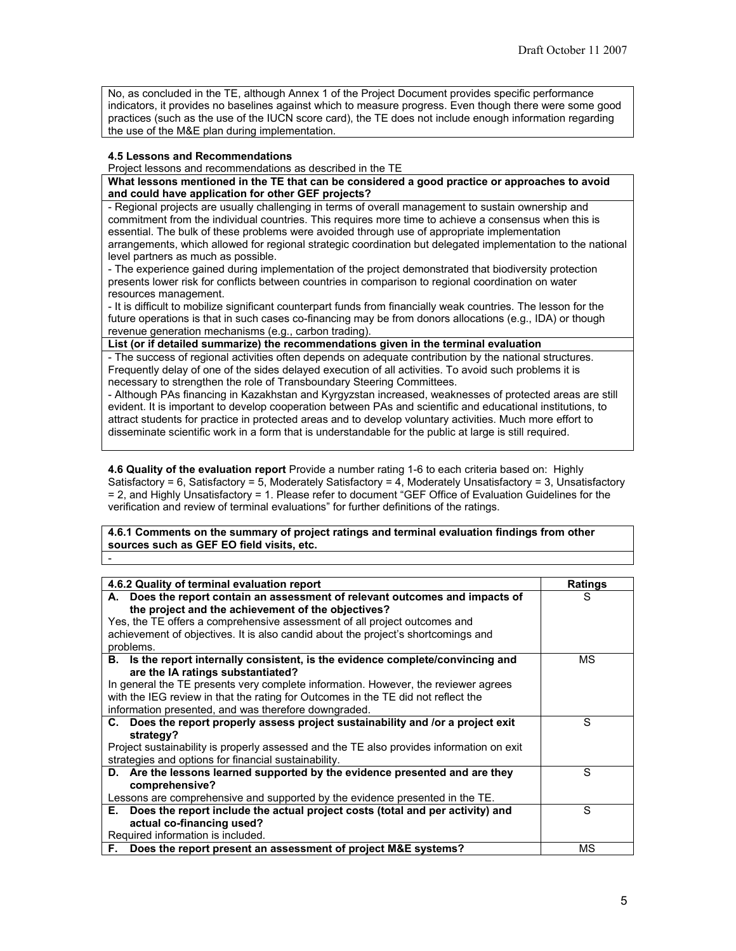No, as concluded in the TE, although Annex 1 of the Project Document provides specific performance indicators, it provides no baselines against which to measure progress. Even though there were some good practices (such as the use of the IUCN score card), the TE does not include enough information regarding the use of the M&E plan during implementation.

#### **4.5 Lessons and Recommendations**

-

Project lessons and recommendations as described in the TE

**What lessons mentioned in the TE that can be considered a good practice or approaches to avoid and could have application for other GEF projects?**

- Regional projects are usually challenging in terms of overall management to sustain ownership and commitment from the individual countries. This requires more time to achieve a consensus when this is essential. The bulk of these problems were avoided through use of appropriate implementation arrangements, which allowed for regional strategic coordination but delegated implementation to the national level partners as much as possible.

- The experience gained during implementation of the project demonstrated that biodiversity protection presents lower risk for conflicts between countries in comparison to regional coordination on water resources management.

- It is difficult to mobilize significant counterpart funds from financially weak countries. The lesson for the future operations is that in such cases co-financing may be from donors allocations (e.g., IDA) or though revenue generation mechanisms (e.g., carbon trading).

#### **List (or if detailed summarize) the recommendations given in the terminal evaluation**

- The success of regional activities often depends on adequate contribution by the national structures. Frequently delay of one of the sides delayed execution of all activities. To avoid such problems it is necessary to strengthen the role of Transboundary Steering Committees.

- Although PAs financing in Kazakhstan and Kyrgyzstan increased, weaknesses of protected areas are still evident. It is important to develop cooperation between PAs and scientific and educational institutions, to attract students for practice in protected areas and to develop voluntary activities. Much more effort to disseminate scientific work in a form that is understandable for the public at large is still required.

**4.6 Quality of the evaluation report** Provide a number rating 1-6 to each criteria based on: Highly Satisfactory = 6, Satisfactory = 5, Moderately Satisfactory = 4, Moderately Unsatisfactory = 3, Unsatisfactory = 2, and Highly Unsatisfactory = 1. Please refer to document "GEF Office of Evaluation Guidelines for the verification and review of terminal evaluations" for further definitions of the ratings.

**4.6.1 Comments on the summary of project ratings and terminal evaluation findings from other sources such as GEF EO field visits, etc.**

| 4.6.2 Quality of terminal evaluation report                                              | <b>Ratings</b> |
|------------------------------------------------------------------------------------------|----------------|
|                                                                                          |                |
| A. Does the report contain an assessment of relevant outcomes and impacts of             | S              |
| the project and the achievement of the objectives?                                       |                |
| Yes, the TE offers a comprehensive assessment of all project outcomes and                |                |
| achievement of objectives. It is also candid about the project's shortcomings and        |                |
| problems.                                                                                |                |
| B. Is the report internally consistent, is the evidence complete/convincing and          | ΜS             |
| are the IA ratings substantiated?                                                        |                |
| In general the TE presents very complete information. However, the reviewer agrees       |                |
| with the IEG review in that the rating for Outcomes in the TE did not reflect the        |                |
| information presented, and was therefore downgraded.                                     |                |
| C. Does the report properly assess project sustainability and /or a project exit         | S              |
| strategy?                                                                                |                |
| Project sustainability is properly assessed and the TE also provides information on exit |                |
| strategies and options for financial sustainability.                                     |                |
| D. Are the lessons learned supported by the evidence presented and are they              | S              |
| comprehensive?                                                                           |                |
| Lessons are comprehensive and supported by the evidence presented in the TE.             |                |
| Does the report include the actual project costs (total and per activity) and<br>Е.      | S              |
| actual co-financing used?                                                                |                |
| Required information is included.                                                        |                |
| F. Does the report present an assessment of project M&E systems?                         | МS             |